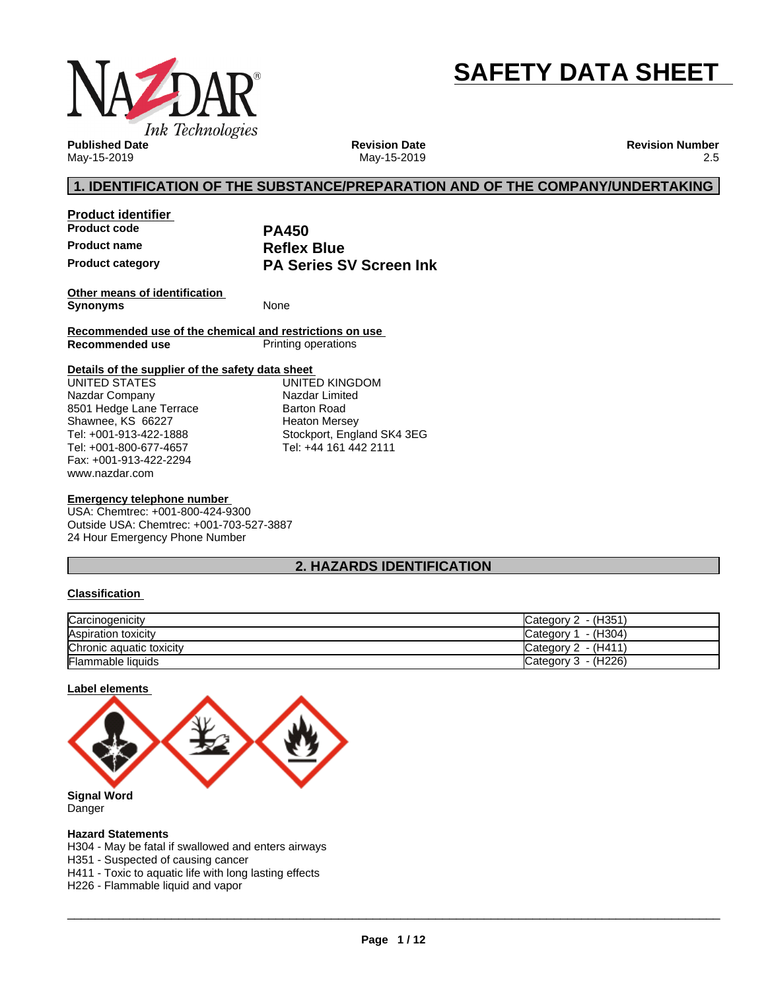

# **SAFETY DATA SHEET**

**Published Date** May-15-2019

**Revision Date** May-15-2019 **Revision Number** 2.5

# **1. IDENTIFICATION OF THE SUBSTANCE/PREPARATION AND OF THE COMPANY/UNDERTAKING**

**Product identifier Product code PA450 Product name**<br>**Product category COVID BY PA Series S** 

**PA Series SV Screen Ink** 

**Other means of identification Synonyms** None

**Recommended use of the chemical and restrictions on use Printing operations** 

#### **Details of the supplier of the safety data sheet**

www.nazdar.com UNITED STATES Nazdar Company 8501 Hedge Lane Terrace Shawnee, KS 66227 Tel: +001-913-422-1888 Tel: +001-800-677-4657 Fax: +001-913-422-2294

UNITED KINGDOM Nazdar Limited Barton Road Heaton Mersey Stockport, England SK4 3EG Tel: +44 161 442 2111

#### **Emergency telephone number**

USA: Chemtrec: +001-800-424-9300 Outside USA: Chemtrec: +001-703-527-3887 24 Hour Emergency Phone Number

# **2. HAZARDS IDENTIFICATION**

#### **Classification**

| Carcinogenicity          | Category 2 - (H351)    |
|--------------------------|------------------------|
| Aspiration toxicity      | - (H304)<br>Category 1 |
| Chronic aquatic toxicity | Category $2 - (H411)$  |
| <b>Flammable liquids</b> | Category $3 - (H226)$  |

#### **Label elements**



Danger

#### **Hazard Statements**

H304 - May be fatal if swallowed and enters airways

H351 - Suspected of causing cancer

H411 - Toxic to aquatic life with long lasting effects

H226 - Flammable liquid and vapor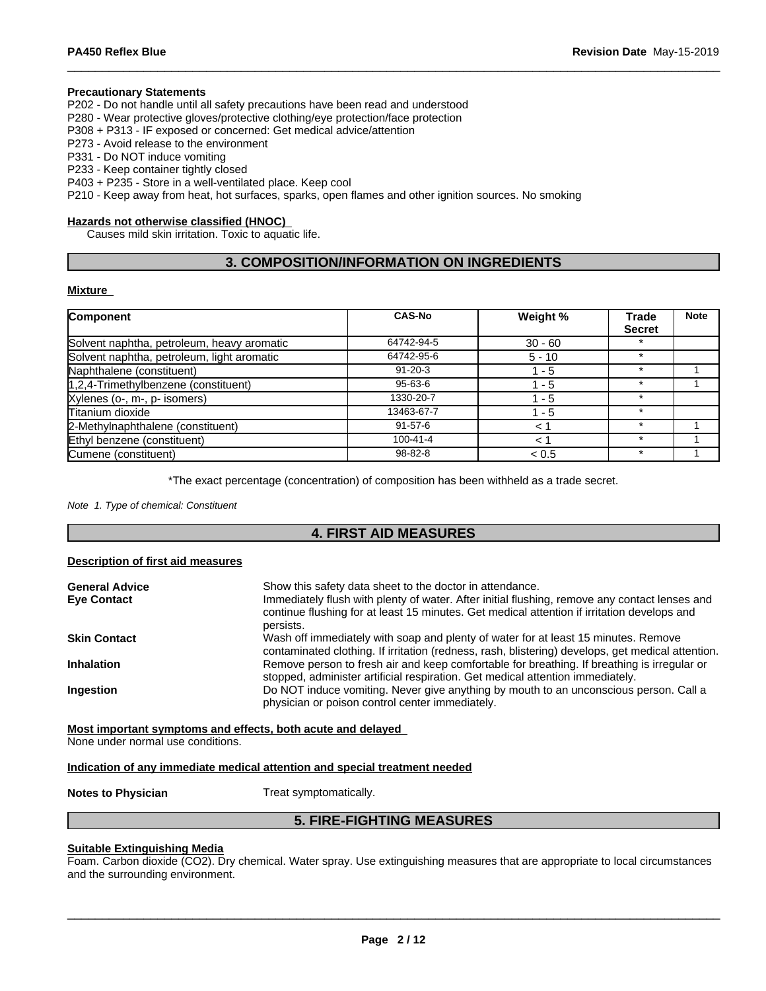#### **Precautionary Statements**

P202 - Do not handle until all safety precautions have been read and understood

P280 - Wear protective gloves/protective clothing/eye protection/face protection

P308 + P313 - IF exposed or concerned: Get medical advice/attention

P273 - Avoid release to the environment

P331 - Do NOT induce vomiting

P233 - Keep container tightly closed

P403 + P235 - Store in a well-ventilated place. Keep cool

P210 - Keep away from heat, hot surfaces, sparks, open flames and other ignition sources. No smoking

#### **Hazards not otherwise classified (HNOC)**

Causes mild skin irritation. Toxic to aquatic life.

# **3. COMPOSITION/INFORMATION ON INGREDIENTS**

#### **Mixture**

| Component                                  | <b>CAS-No</b>  | Weight %  | <b>Trade</b>  | <b>Note</b> |
|--------------------------------------------|----------------|-----------|---------------|-------------|
|                                            |                |           | <b>Secret</b> |             |
| Solvent naphtha, petroleum, heavy aromatic | 64742-94-5     | $30 - 60$ |               |             |
| Solvent naphtha, petroleum, light aromatic | 64742-95-6     | $5 - 10$  | $\star$       |             |
| Naphthalene (constituent)                  | $91 - 20 - 3$  | $1 - 5$   | $\star$       |             |
| $1,2,4$ -Trimethylbenzene (constituent)    | 95-63-6        | $1 - 5$   | $\star$       |             |
| Xylenes (o-, m-, p- isomers)               | 1330-20-7      | - 5       |               |             |
| Titanium dioxide                           | 13463-67-7     | 1 - 5     |               |             |
| 2-Methylnaphthalene (constituent)          | $91 - 57 - 6$  | $\lt$     |               |             |
| Ethyl benzene (constituent)                | $100 - 41 - 4$ | ← 1       |               |             |
| Cumene (constituent)                       | 98-82-8        | < 0.5     |               |             |

\*The exact percentage (concentration) of composition has been withheld as a trade secret.

*Note 1. Type of chemical: Constituent*

### **4. FIRST AID MEASURES**

#### **Description of first aid measures**

| Show this safety data sheet to the doctor in attendance.<br>Immediately flush with plenty of water. After initial flushing, remove any contact lenses and<br>continue flushing for at least 15 minutes. Get medical attention if irritation develops and |
|----------------------------------------------------------------------------------------------------------------------------------------------------------------------------------------------------------------------------------------------------------|
| persists.                                                                                                                                                                                                                                                |
| Wash off immediately with soap and plenty of water for at least 15 minutes. Remove<br>contaminated clothing. If irritation (redness, rash, blistering) develops, get medical attention.                                                                  |
| Remove person to fresh air and keep comfortable for breathing. If breathing is irregular or<br>stopped, administer artificial respiration. Get medical attention immediately.                                                                            |
| Do NOT induce vomiting. Never give anything by mouth to an unconscious person. Call a<br>physician or poison control center immediately.                                                                                                                 |
|                                                                                                                                                                                                                                                          |

**Most important symptoms and effects, both acute and delayed**

None under normal use conditions.

#### **Indication of any immediate medical attention and special treatment needed**

**Notes to Physician** Treat symptomatically.

# **5. FIRE-FIGHTING MEASURES**

#### **Suitable Extinguishing Media**

Foam. Carbon dioxide (CO2). Dry chemical. Water spray. Use extinguishing measures that are appropriate to local circumstances and the surrounding environment.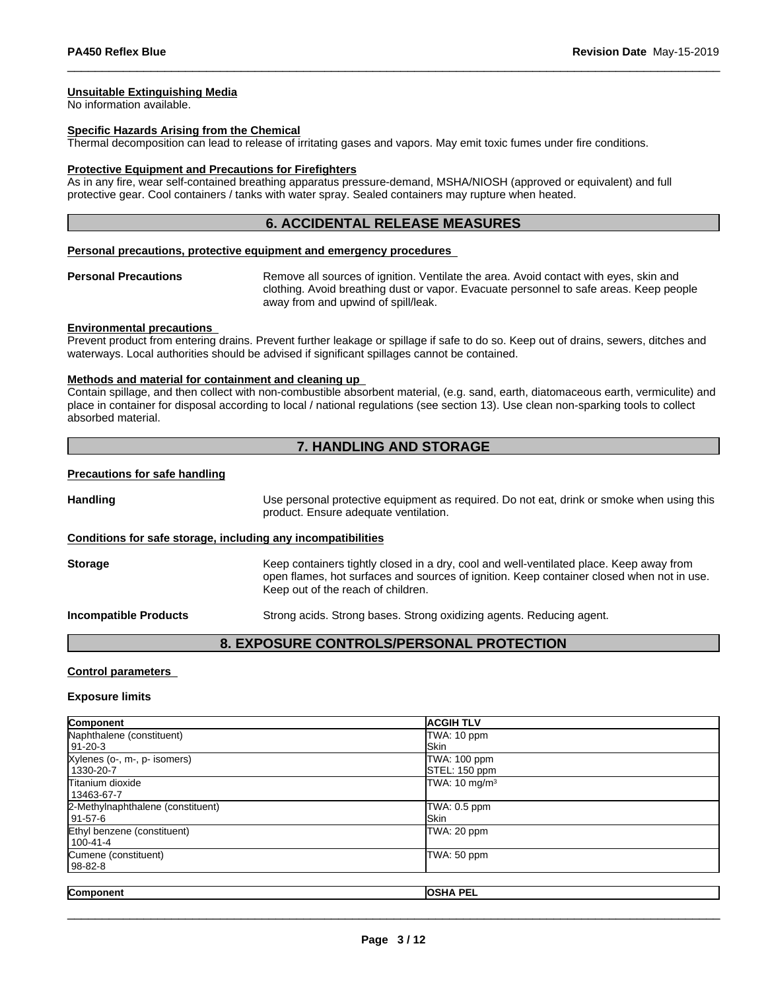#### **Unsuitable Extinguishing Media**

No information available.

#### **Specific Hazards Arising from the Chemical**

Thermal decomposition can lead to release of irritating gases and vapors. May emit toxic fumes under fire conditions.

#### **Protective Equipment and Precautions for Firefighters**

As in any fire, wear self-contained breathing apparatus pressure-demand, MSHA/NIOSH (approved or equivalent) and full protective gear. Cool containers / tanks with water spray. Sealed containers may rupture when heated.

#### **6. ACCIDENTAL RELEASE MEASURES**

#### **Personal precautions, protective equipment and emergency procedures**

**Personal Precautions** Remove all sources of ignition. Ventilate the area. Avoid contact with eyes, skin and clothing. Avoid breathing dust or vapor. Evacuate personnel to safe areas. Keep people away from and upwind of spill/leak.

#### **Environmental precautions**

Prevent product from entering drains. Prevent further leakage or spillage if safe to do so. Keep out of drains, sewers, ditches and waterways. Local authorities should be advised if significant spillages cannot be contained.

#### **Methods and material for containment and cleaning up**

Contain spillage, and then collectwith non-combustible absorbent material, (e.g. sand, earth, diatomaceous earth, vermiculite) and place in container for disposal according to local / national regulations (see section 13). Use clean non-sparking tools to collect absorbed material.

## **7. HANDLING AND STORAGE**

#### **Precautions for safe handling**

**Handling** Use personal protective equipment as required. Do not eat, drink or smoke when using this product. Ensure adequate ventilation. **Conditions for safe storage, including any incompatibilities Storage** Keep containers tightly closed in a dry, cool and well-ventilated place. Keep away from open flames, hot surfaces and sources of ignition. Keep container closed when not in use. Keep out of the reach of children.

**Incompatible Products** Strong acids. Strong bases. Strong oxidizing agents. Reducing agent.

### **8. EXPOSURE CONTROLS/PERSONAL PROTECTION**

#### **Control parameters**

#### **Exposure limits**

| Component                         | <b>ACGIH TLV</b>          |
|-----------------------------------|---------------------------|
| Naphthalene (constituent)         | TWA: 10 ppm               |
| 91-20-3                           | <b>Skin</b>               |
| Xylenes (o-, m-, p- isomers)      | TWA: 100 ppm              |
| 1330-20-7                         | STEL: 150 ppm             |
| <b>Titanium dioxide</b>           | TWA: 10 mg/m <sup>3</sup> |
| 13463-67-7                        |                           |
| 2-Methylnaphthalene (constituent) | TWA: 0.5 ppm              |
| l 91-57-6                         | <b>Skin</b>               |
| Ethyl benzene (constituent)       | TWA: 20 ppm               |
| 100-41-4                          |                           |
| Cumene (constituent)              | TWA: 50 ppm               |
| 98-82-8                           |                           |
|                                   |                           |
| Component                         | <b>OSHA PEL</b>           |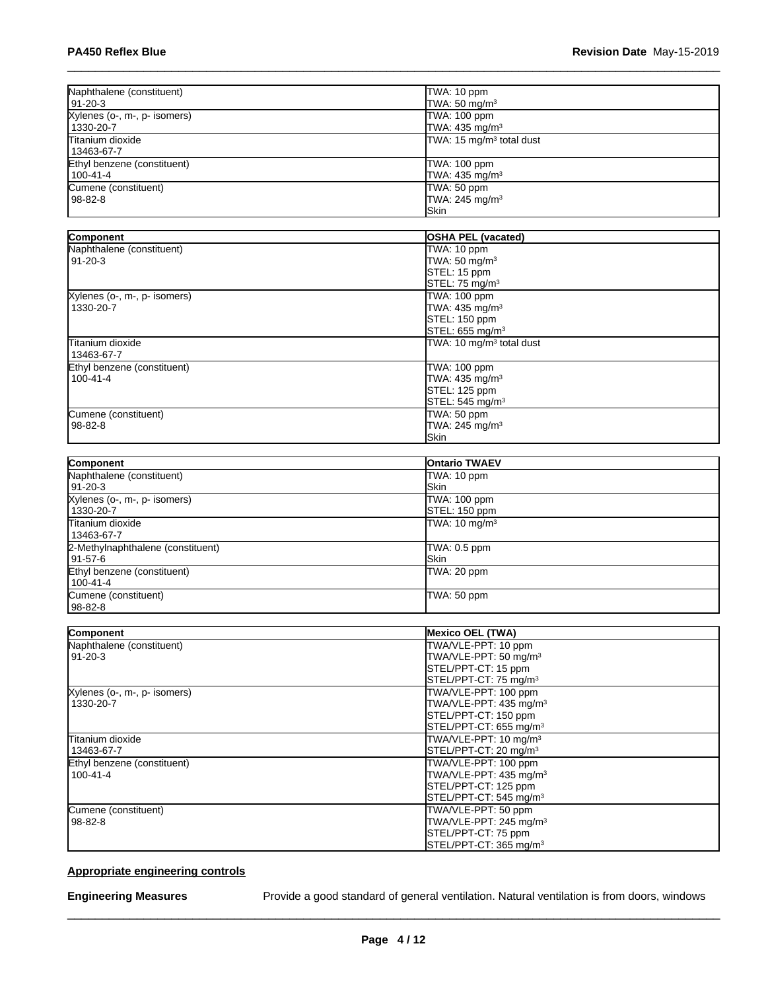| Naphthalene (constituent)             | TWA: 10 ppm                                                 |
|---------------------------------------|-------------------------------------------------------------|
| 191-20-3                              | TWA: $50 \text{ mg/m}^3$                                    |
| Xylenes (o-, m-, p- isomers)          | TWA: 100 ppm                                                |
| 1330-20-7                             | TWA: $435 \text{ mg/m}^3$                                   |
| <b>Titanium dioxide</b><br>13463-67-7 | TWA: 15 mg/m <sup>3</sup> total dust                        |
| Ethyl benzene (constituent)           | TWA: 100 ppm                                                |
| 100-41-4                              | TWA: 435 mg/m <sup>3</sup>                                  |
| Cumene (constituent)<br>l 98-82-8     | TWA: 50 ppm<br>TWA: $245$ mg/m <sup>3</sup><br><b>ISkin</b> |

| Component                    | <b>OSHA PEL (vacated)</b>            |
|------------------------------|--------------------------------------|
|                              |                                      |
| Naphthalene (constituent)    | TWA: 10 ppm                          |
| 91-20-3                      | TWA: 50 mg/m <sup>3</sup>            |
|                              | STEL: 15 ppm                         |
|                              | STEL: 75 mg/m <sup>3</sup>           |
| Xylenes (o-, m-, p- isomers) | TWA: 100 ppm                         |
| 1330-20-7                    | TWA: 435 mg/m <sup>3</sup>           |
|                              | STEL: 150 ppm                        |
|                              | STEL: 655 mg/m <sup>3</sup>          |
| <b>Titanium dioxide</b>      | TWA: 10 mg/m <sup>3</sup> total dust |
| 13463-67-7                   |                                      |
| Ethyl benzene (constituent)  | TWA: 100 ppm                         |
| $100 - 41 - 4$               | TWA: $435 \text{ mg/m}^3$            |
|                              | STEL: 125 ppm                        |
|                              | STEL: 545 mg/m <sup>3</sup>          |
| Cumene (constituent)         | TWA: 50 ppm                          |
| 98-82-8                      | TWA: 245 mg/m <sup>3</sup>           |
|                              | Skin                                 |

| Component                         | <b>Ontario TWAEV</b>     |
|-----------------------------------|--------------------------|
| Naphthalene (constituent)         | TWA: 10 ppm              |
| 91-20-3                           | <b>ISkin</b>             |
| Xylenes (o-, m-, p- isomers)      | TWA: 100 ppm             |
| 1330-20-7                         | STEL: 150 ppm            |
| Titanium dioxide                  | TWA: $10 \text{ mg/m}^3$ |
| 13463-67-7                        |                          |
| 2-Methylnaphthalene (constituent) | TWA: 0.5 ppm             |
| l 91-57-6                         | <b>ISkin</b>             |
| Ethyl benzene (constituent)       | TWA: 20 ppm              |
| 100-41-4                          |                          |
| Cumene (constituent)              | TWA: 50 ppm              |
| 98-82-8                           |                          |

| Component                    | <b>Mexico OEL (TWA)</b>            |
|------------------------------|------------------------------------|
| Naphthalene (constituent)    | TWA/VLE-PPT: 10 ppm                |
| $91 - 20 - 3$                | TWA/VLE-PPT: 50 mg/m <sup>3</sup>  |
|                              | STEL/PPT-CT: 15 ppm                |
|                              | STEL/PPT-CT: 75 mg/m <sup>3</sup>  |
| Xylenes (o-, m-, p- isomers) | TWA/VLE-PPT: 100 ppm               |
| 1330-20-7                    | TWA/VLE-PPT: 435 mg/m <sup>3</sup> |
|                              | STEL/PPT-CT: 150 ppm               |
|                              | STEL/PPT-CT: 655 mg/m <sup>3</sup> |
| Titanium dioxide             | TWA/VLE-PPT: 10 mg/m <sup>3</sup>  |
| 13463-67-7                   | STEL/PPT-CT: 20 mg/m <sup>3</sup>  |
| Ethyl benzene (constituent)  | TWA/VLE-PPT: 100 ppm               |
| $100 - 41 - 4$               | TWA/VLE-PPT: 435 mg/m <sup>3</sup> |
|                              | STEL/PPT-CT: 125 ppm               |
|                              | STEL/PPT-CT: 545 mg/m <sup>3</sup> |
| Cumene (constituent)         | TWA/VLE-PPT: 50 ppm                |
| $98 - 82 - 8$                | TWA/VLE-PPT: 245 mg/m <sup>3</sup> |
|                              | STEL/PPT-CT: 75 ppm                |
|                              | STEL/PPT-CT: 365 mg/m <sup>3</sup> |

# **Appropriate engineering controls**

**Engineering Measures** Provide a good standard of general ventilation. Natural ventilation is from doors, windows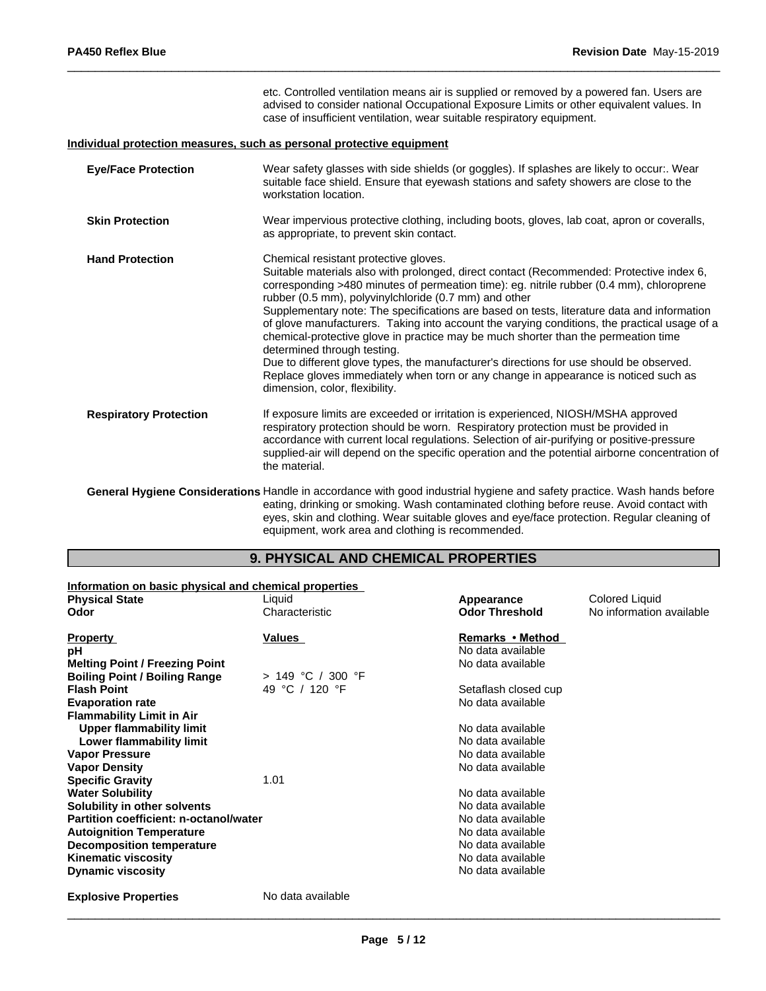|                               | etc. Controlled ventilation means air is supplied or removed by a powered fan. Users are<br>advised to consider national Occupational Exposure Limits or other equivalent values. In<br>case of insufficient ventilation, wear suitable respiratory equipment.                                                                                                                                                                                                                                                                                                                                                                                                                                                                                                                                                                |
|-------------------------------|-------------------------------------------------------------------------------------------------------------------------------------------------------------------------------------------------------------------------------------------------------------------------------------------------------------------------------------------------------------------------------------------------------------------------------------------------------------------------------------------------------------------------------------------------------------------------------------------------------------------------------------------------------------------------------------------------------------------------------------------------------------------------------------------------------------------------------|
|                               | Individual protection measures, such as personal protective equipment                                                                                                                                                                                                                                                                                                                                                                                                                                                                                                                                                                                                                                                                                                                                                         |
| <b>Eye/Face Protection</b>    | Wear safety glasses with side shields (or goggles). If splashes are likely to occur:. Wear<br>suitable face shield. Ensure that eyewash stations and safety showers are close to the<br>workstation location.                                                                                                                                                                                                                                                                                                                                                                                                                                                                                                                                                                                                                 |
| <b>Skin Protection</b>        | Wear impervious protective clothing, including boots, gloves, lab coat, apron or coveralls,<br>as appropriate, to prevent skin contact.                                                                                                                                                                                                                                                                                                                                                                                                                                                                                                                                                                                                                                                                                       |
| <b>Hand Protection</b>        | Chemical resistant protective gloves.<br>Suitable materials also with prolonged, direct contact (Recommended: Protective index 6,<br>corresponding >480 minutes of permeation time): eg. nitrile rubber (0.4 mm), chloroprene<br>rubber (0.5 mm), polyvinylchloride (0.7 mm) and other<br>Supplementary note: The specifications are based on tests, literature data and information<br>of glove manufacturers. Taking into account the varying conditions, the practical usage of a<br>chemical-protective glove in practice may be much shorter than the permeation time<br>determined through testing.<br>Due to different glove types, the manufacturer's directions for use should be observed.<br>Replace gloves immediately when torn or any change in appearance is noticed such as<br>dimension, color, flexibility. |
| <b>Respiratory Protection</b> | If exposure limits are exceeded or irritation is experienced, NIOSH/MSHA approved<br>respiratory protection should be worn. Respiratory protection must be provided in<br>accordance with current local regulations. Selection of air-purifying or positive-pressure<br>supplied-air will depend on the specific operation and the potential airborne concentration of<br>the material.                                                                                                                                                                                                                                                                                                                                                                                                                                       |
|                               | General Hygiene Considerations Handle in accordance with good industrial hygiene and safety practice. Wash hands before<br>eating, drinking or smoking. Wash contaminated clothing before reuse. Avoid contact with<br>eyes, skin and clothing. Wear suitable gloves and eye/face protection. Regular cleaning of                                                                                                                                                                                                                                                                                                                                                                                                                                                                                                             |

equipment, work area and clothing is recommended.

# **9. PHYSICAL AND CHEMICAL PROPERTIES**

| Information on basic physical and chemical properties |                     |                       |                          |
|-------------------------------------------------------|---------------------|-----------------------|--------------------------|
| <b>Physical State</b>                                 | Liquid              | Appearance            | Colored Liquid           |
| Odor                                                  | Characteristic      | <b>Odor Threshold</b> | No information available |
| <b>Property</b>                                       | Values              | Remarks • Method      |                          |
| рH                                                    |                     | No data available     |                          |
| <b>Melting Point / Freezing Point</b>                 |                     | No data available     |                          |
| <b>Boiling Point / Boiling Range</b>                  | $> 149$ °C / 300 °F |                       |                          |
| <b>Flash Point</b>                                    | 49 °C / 120 °F      | Setaflash closed cup  |                          |
| <b>Evaporation rate</b>                               |                     | No data available     |                          |
| <b>Flammability Limit in Air</b>                      |                     |                       |                          |
| Upper flammability limit                              |                     | No data available     |                          |
| Lower flammability limit                              |                     | No data available     |                          |
| <b>Vapor Pressure</b>                                 |                     | No data available     |                          |
| <b>Vapor Density</b>                                  |                     | No data available     |                          |
| <b>Specific Gravity</b>                               | 1.01                |                       |                          |
| <b>Water Solubility</b>                               |                     | No data available     |                          |
| Solubility in other solvents                          |                     | No data available     |                          |
| Partition coefficient: n-octanol/water                |                     | No data available     |                          |
| <b>Autoignition Temperature</b>                       |                     | No data available     |                          |
| <b>Decomposition temperature</b>                      |                     | No data available     |                          |
| <b>Kinematic viscosity</b>                            |                     | No data available     |                          |
| <b>Dynamic viscosity</b>                              |                     | No data available     |                          |
| <b>Explosive Properties</b>                           | No data available   |                       |                          |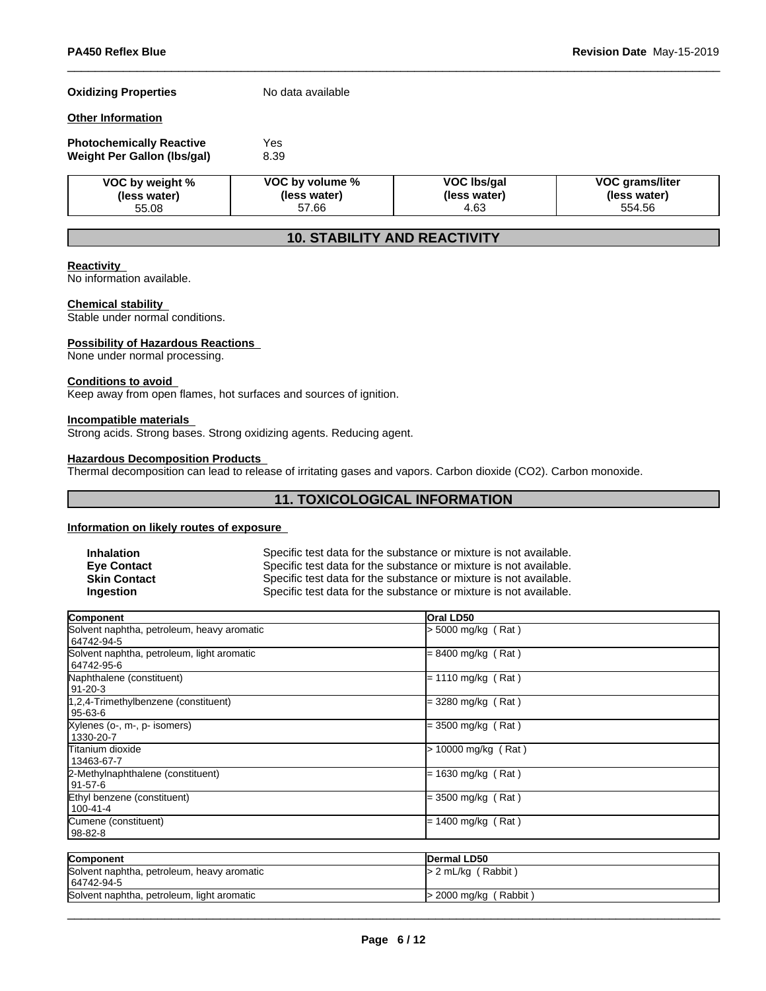#### **Oxidizing Properties** No data available

#### **Other Information**

| <b>Photochemically Reactive</b> | Yes  |  |
|---------------------------------|------|--|
| Weight Per Gallon (Ibs/gal)     | 8.39 |  |

| VOC by weight % | VOC by volume % | VOC Ibs/gal  | <b>VOC grams/liter</b> |
|-----------------|-----------------|--------------|------------------------|
| (less water)    | (less water)    | (less water) | (less water)           |
| 55.08           | 57.66           | 4.63         |                        |

# **10. STABILITY AND REACTIVITY**

#### **Reactivity**

No information available.

### **Chemical stability**

Stable under normal conditions.

#### **Possibility of Hazardous Reactions**

None under normal processing.

#### **Conditions to avoid**

Keep away from open flames, hot surfaces and sources of ignition.

#### **Incompatible materials**

Strong acids. Strong bases. Strong oxidizing agents. Reducing agent.

# **Hazardous Decomposition Products**

Thermal decomposition can lead to release of irritating gases and vapors. Carbon dioxide (CO2). Carbon monoxide.

# **11. TOXICOLOGICAL INFORMATION**

#### **Information on likely routes of exposure**

| <b>Inhalation</b>   | Specific test data for the substance or mixture is not available. |
|---------------------|-------------------------------------------------------------------|
| <b>Eve Contact</b>  | Specific test data for the substance or mixture is not available. |
| <b>Skin Contact</b> | Specific test data for the substance or mixture is not available. |
| <b>Ingestion</b>    | Specific test data for the substance or mixture is not available. |

| Component                                                | <b>Oral LD50</b>     |  |
|----------------------------------------------------------|----------------------|--|
| Solvent naphtha, petroleum, heavy aromatic<br>64742-94-5 | > 5000 mg/kg (Rat)   |  |
| Solvent naphtha, petroleum, light aromatic<br>64742-95-6 | = 8400 mg/kg (Rat)   |  |
| Naphthalene (constituent)<br>91-20-3                     | $= 1110$ mg/kg (Rat) |  |
| 1,2,4-Trimethylbenzene (constituent)<br>95-63-6          | = 3280 mg/kg (Rat)   |  |
| Xylenes (o-, m-, p- isomers)<br>1330-20-7                | = 3500 mg/kg (Rat)   |  |
| lTitanium dioxide<br>13463-67-7                          | 10000 mg/kg (Rat)    |  |
| 2-Methylnaphthalene (constituent)<br>91-57-6             | $= 1630$ mg/kg (Rat) |  |
| Ethyl benzene (constituent)<br>100-41-4                  | = 3500 mg/kg ( Rat ) |  |
| Cumene (constituent)<br>98-82-8                          | $= 1400$ mg/kg (Rat) |  |

| Component                                                | Dermal LD50             |
|----------------------------------------------------------|-------------------------|
| Solvent naphtha, petroleum, heavy aromatic<br>64742-94-5 | $> 2$ mL/kg (Rabbit)    |
| Solvent naphtha, petroleum, light aromatic               | $>$ 2000 mg/kg (Rabbit) |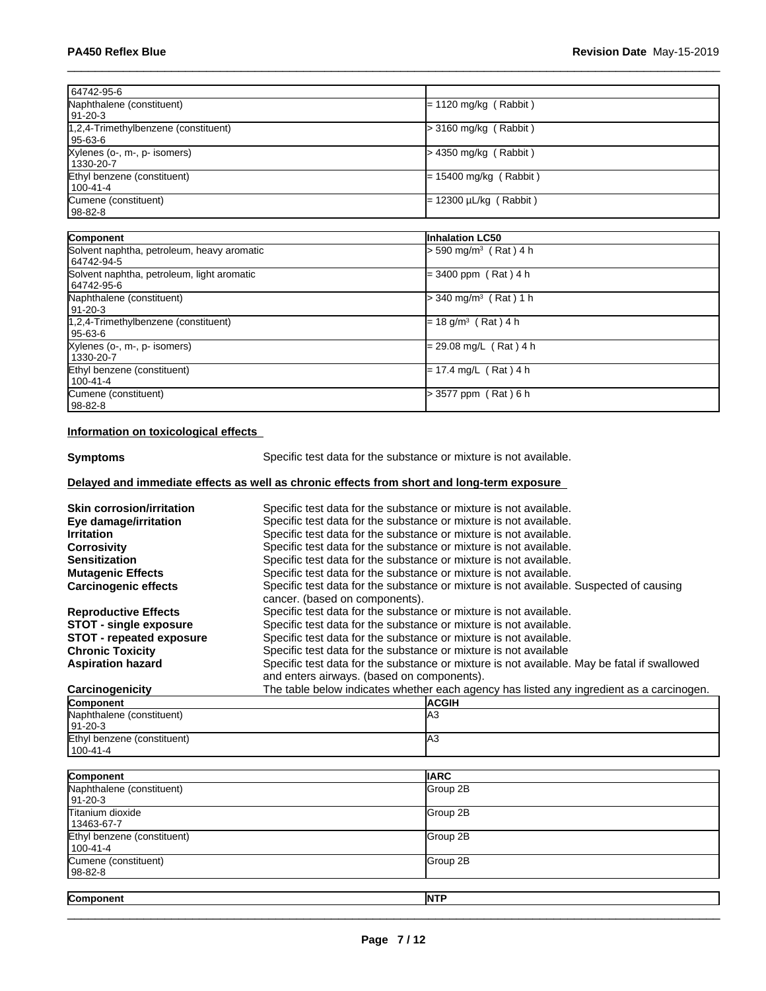| 64742-95-6                                               |                                     |
|----------------------------------------------------------|-------------------------------------|
| Naphthalene (constituent)<br>91-20-3                     | $= 1120$ mg/kg (Rabbit)             |
| 1,2,4-Trimethylbenzene (constituent)<br>  95-63-6        | > 3160 mg/kg (Rabbit)               |
| Xylenes (o-, m-, p- isomers)<br>1330-20-7                | > 4350 mg/kg (Rabbit)               |
| Ethyl benzene (constituent)<br>$100 - 41 - 4$            | $= 15400$ mg/kg (Rabbit)            |
| Cumene (constituent)<br>  98-82-8                        | = 12300 µL/kg ( Rabbit )            |
| Component                                                | Inhalation LC50                     |
| Solvent naphtha, petroleum, heavy aromatic<br>64742-94-5 | > 590 mg/m <sup>3</sup> (Rat) 4 h   |
| Solvent naphtha, petroleum, light aromatic<br>64742-95-6 | $= 3400$ ppm (Rat) 4 h              |
| Naphthalene (constituent)<br>  91-20-3                   | $>$ 340 mg/m <sup>3</sup> (Rat) 1 h |
| 1,2,4-Trimethylbenzene (constituent)<br>$95 - 63 - 6$    | $= 18$ g/m <sup>3</sup> (Rat) 4 h   |
| Xylenes (o-, m-, p- isomers)<br>1330-20-7                | = 29.08 mg/L (Rat) 4 h              |
| Ethyl benzene (constituent)<br>$100 - 41 - 4$            | = 17.4 mg/L (Rat) 4 h               |
| Cumene (constituent)<br>$98-82-8$                        | > 3577 ppm (Rat) 6 h                |

## **Information on toxicological effects**

Ethyl benzene (constituent)

**Symptoms** Specific test data for the substance or mixture is not available.

# **Delayed and immediate effects as well as chronic effects from short and long-term exposure**

| <b>Skin corrosion/irritation</b> | Specific test data for the substance or mixture is not available.                                                                         |  |  |
|----------------------------------|-------------------------------------------------------------------------------------------------------------------------------------------|--|--|
| Eye damage/irritation            | Specific test data for the substance or mixture is not available.                                                                         |  |  |
| <b>Irritation</b>                | Specific test data for the substance or mixture is not available.                                                                         |  |  |
| <b>Corrosivity</b>               | Specific test data for the substance or mixture is not available.                                                                         |  |  |
| <b>Sensitization</b>             | Specific test data for the substance or mixture is not available.                                                                         |  |  |
| <b>Mutagenic Effects</b>         | Specific test data for the substance or mixture is not available.                                                                         |  |  |
| <b>Carcinogenic effects</b>      | Specific test data for the substance or mixture is not available. Suspected of causing<br>cancer. (based on components).                  |  |  |
| <b>Reproductive Effects</b>      | Specific test data for the substance or mixture is not available.                                                                         |  |  |
| <b>STOT - single exposure</b>    | Specific test data for the substance or mixture is not available.                                                                         |  |  |
| <b>STOT</b> - repeated exposure  | Specific test data for the substance or mixture is not available.                                                                         |  |  |
| <b>Chronic Toxicity</b>          | Specific test data for the substance or mixture is not available                                                                          |  |  |
| <b>Aspiration hazard</b>         | Specific test data for the substance or mixture is not available. May be fatal if swallowed<br>and enters airways. (based on components). |  |  |
| Carcinogenicity                  | The table below indicates whether each agency has listed any ingredient as a carcinogen.                                                  |  |  |
| Component                        | <b>ACGIH</b>                                                                                                                              |  |  |
| Naphthalene (constituent)        | IA3                                                                                                                                       |  |  |
| 91-20-3                          |                                                                                                                                           |  |  |

| 100-41-4                                |             |  |
|-----------------------------------------|-------------|--|
|                                         |             |  |
| Component                               | <b>IARC</b> |  |
| Naphthalene (constituent)<br>$91-20-3$  | Group 2B    |  |
| Titanium dioxide<br>13463-67-7          | Group 2B    |  |
| Ethyl benzene (constituent)<br>100-41-4 | Group 2B    |  |
| Cumene (constituent)<br>98-82-8         | Group 2B    |  |
|                                         |             |  |
| Component                               | <b>INTP</b> |  |

A3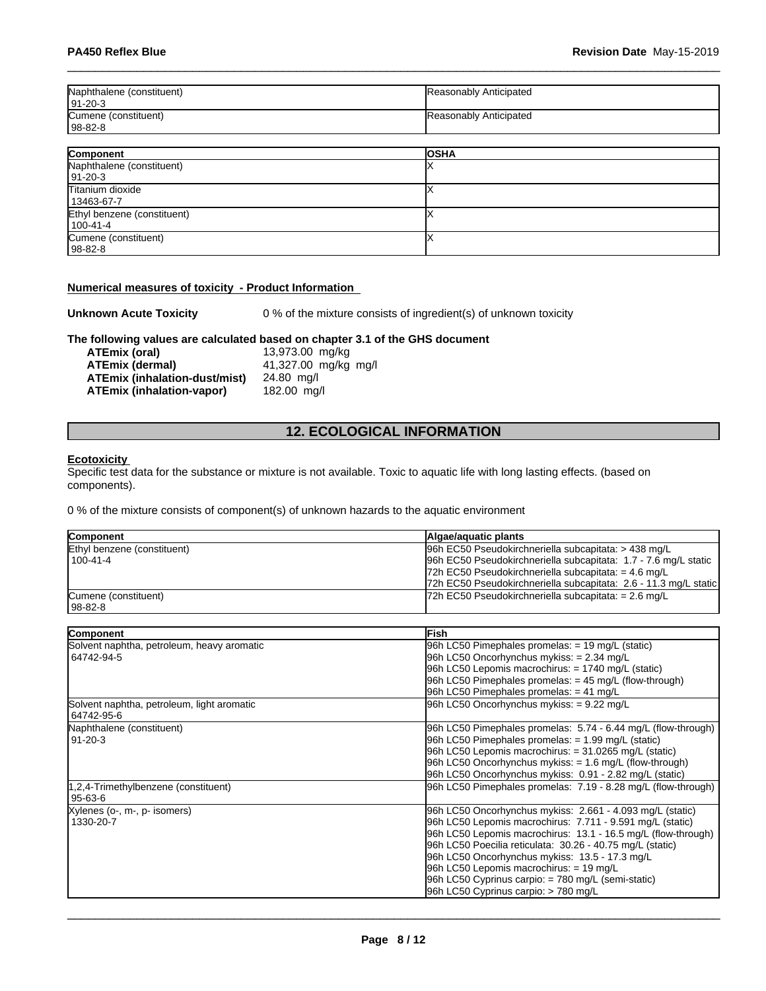| Naphthalene (constituent)<br>  91-20-3 | Reasonably Anticipated |
|----------------------------------------|------------------------|
| Cumene (constituent)<br>  98-82-8      | Reasonably Anticipated |

| Component                   | <b>OSHA</b> |
|-----------------------------|-------------|
| Naphthalene (constituent)   |             |
| $ 91-20-3 $                 |             |
| Titanium dioxide            |             |
| 13463-67-7                  |             |
| Ethyl benzene (constituent) |             |
| $100 - 41 - 4$              |             |
| Cumene (constituent)        |             |
| $ 98-82-8$                  |             |

### **Numerical measures of toxicity - Product Information**

**Unknown Acute Toxicity** 0 % of the mixture consists of ingredient(s) of unknown toxicity

# **The following values are calculated based on chapter 3.1 of the GHS document**

**ATEmix (oral)** 13,973.00 mg/kg<br>**ATEmix (dermal)** 41,327.00 mg/kg **ATEmix (dermal)**41,327.00 mg/kg mg/l **ATEmix (inhalation-dust/mist)** 24.80 mg/l **ATEmix (inhalation-vapor)** 

# **12. ECOLOGICAL INFORMATION**

### **Ecotoxicity**

Specific test data for the substance or mixture is not available. Toxic to aquatic life with long lasting effects. (based on components).

0 % of the mixture consists of component(s) of unknown hazards to the aquatic environment

| <b>Component</b>            | Algae/aguatic plants                                             |
|-----------------------------|------------------------------------------------------------------|
| Ethyl benzene (constituent) | 96h EC50 Pseudokirchneriella subcapitata: > 438 mg/L             |
| $1100 - 41 - 4$             | 96h EC50 Pseudokirchneriella subcapitata: 1.7 - 7.6 mg/L static  |
|                             | 72h EC50 Pseudokirchneriella subcapitata: = $4.6 \text{ mg/L}$   |
|                             | 72h EC50 Pseudokirchneriella subcapitata: 2.6 - 11.3 mg/L static |
| Cumene (constituent)        | $72h$ EC50 Pseudokirchneriella subcapitata: = 2.6 mg/L           |
| 98-82-8                     |                                                                  |

| Component                                  | <b>IFish</b>                                                  |
|--------------------------------------------|---------------------------------------------------------------|
| Solvent naphtha, petroleum, heavy aromatic | 96h LC50 Pimephales promelas: = 19 mg/L (static)              |
| 64742-94-5                                 | 96h LC50 Oncorhynchus mykiss: = 2.34 mg/L                     |
|                                            | $96h$ LC50 Lepomis macrochirus: = 1740 mg/L (static)          |
|                                            | 96h LC50 Pimephales promelas: $=$ 45 mg/L (flow-through)      |
|                                            | 96h LC50 Pimephales promelas: $= 41$ mg/L                     |
| Solvent naphtha, petroleum, light aromatic | 96h LC50 Oncorhynchus mykiss: = 9.22 mg/L                     |
| 64742-95-6                                 |                                                               |
| Naphthalene (constituent)                  | 96h LC50 Pimephales promelas: 5.74 - 6.44 mg/L (flow-through) |
| 91-20-3                                    | 96h LC50 Pimephales promelas: $= 1.99$ mg/L (static)          |
|                                            | 96h LC50 Lepomis macrochirus: = 31.0265 mg/L (static)         |
|                                            | $ 96h$ LC50 Oncorhynchus mykiss: $= 1.6$ mg/L (flow-through)  |
|                                            | 96h LC50 Oncorhynchus mykiss: 0.91 - 2.82 mg/L (static)       |
| 1,2,4-Trimethylbenzene (constituent)       | 96h LC50 Pimephales promelas: 7.19 - 8.28 mg/L (flow-through) |
| 95-63-6                                    |                                                               |
| Xylenes (o-, m-, p- isomers)               | 96h LC50 Oncorhynchus mykiss: 2.661 - 4.093 mg/L (static)     |
| 1330-20-7                                  | 96h LC50 Lepomis macrochirus: 7.711 - 9.591 mg/L (static)     |
|                                            | 96h LC50 Lepomis macrochirus: 13.1 - 16.5 mg/L (flow-through) |
|                                            | 96h LC50 Poecilia reticulata: 30.26 - 40.75 mg/L (static)     |
|                                            | 96h LC50 Oncorhynchus mykiss: 13.5 - 17.3 mg/L                |
|                                            | 96h LC50 Lepomis macrochirus: = 19 mg/L                       |
|                                            | 96h LC50 Cyprinus carpio: = 780 mg/L (semi-static)            |
|                                            | 96h LC50 Cyprinus carpio: > 780 mg/L                          |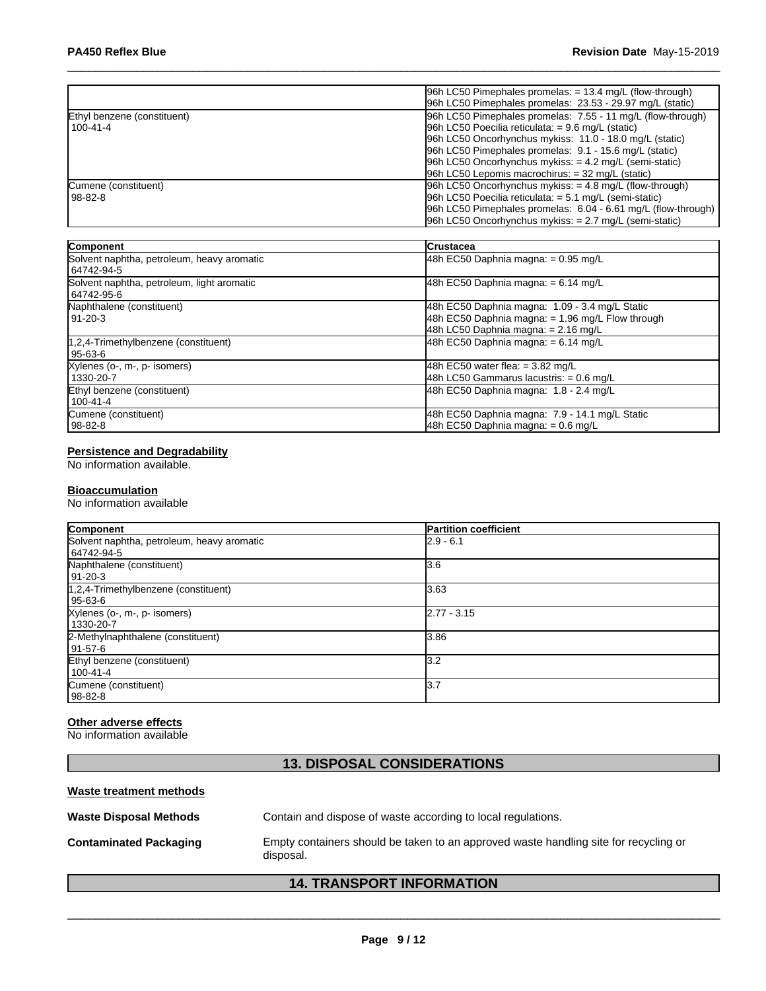|                             | $ 96h$ LC50 Pimephales promelas: = 13.4 mg/L (flow-through)    |
|-----------------------------|----------------------------------------------------------------|
|                             | 96h LC50 Pimephales promelas: 23.53 - 29.97 mg/L (static)      |
| Ethyl benzene (constituent) | 96h LC50 Pimephales promelas: 7.55 - 11 mg/L (flow-through)    |
| 100-41-4                    | $ 96h$ LC50 Poecilia reticulata: = 9.6 mg/L (static)           |
|                             | 96h LC50 Oncorhynchus mykiss: 11.0 - 18.0 mg/L (static)        |
|                             | 96h LC50 Pimephales promelas: 9.1 - 15.6 mg/L (static)         |
|                             | $96h$ LC50 Oncorhynchus mykiss: $= 4.2$ mg/L (semi-static)     |
|                             | $96h$ LC50 Lepomis macrochirus: $=$ 32 mg/L (static)           |
| Cumene (constituent)        | $ 96h$ LC50 Oncorhynchus mykiss: $= 4.8$ mg/L (flow-through)   |
| l 98-82-8                   | 96h LC50 Poecilia reticulata: $= 5.1$ mg/L (semi-static)       |
|                             | [96h LC50 Pimephales promelas: 6.04 - 6.61 mg/L (flow-through) |
|                             | $96h$ LC50 Oncorhynchus mykiss: $= 2.7$ mg/L (semi-static)     |

| Component                                                | <b>ICrustacea</b>                                                                                                                           |
|----------------------------------------------------------|---------------------------------------------------------------------------------------------------------------------------------------------|
| Solvent naphtha, petroleum, heavy aromatic<br>64742-94-5 | 48h EC50 Daphnia magna: $= 0.95$ mg/L                                                                                                       |
| Solvent naphtha, petroleum, light aromatic<br>64742-95-6 | 48h EC50 Daphnia magna: $= 6.14$ mg/L                                                                                                       |
| Naphthalene (constituent)<br>  91-20-3                   | 48h EC50 Daphnia magna: 1.09 - 3.4 mg/L Static<br>48h EC50 Daphnia magna: $= 1.96$ mg/L Flow through<br>48h LC50 Daphnia magna: = 2.16 mg/L |
| 1,2,4-Trimethylbenzene (constituent)<br>95-63-6          | 48h EC50 Daphnia magna: $= 6.14$ mg/L                                                                                                       |
| Xylenes (o-, m-, p- isomers)<br>1330-20-7                | 48h EC50 water flea: $= 3.82$ mg/L<br>48h LC50 Gammarus lacustris: = 0.6 mg/L                                                               |
| Ethyl benzene (constituent)<br>100-41-4                  | 48h EC50 Daphnia magna: 1.8 - 2.4 mg/L                                                                                                      |
| Cumene (constituent)<br>  98-82-8                        | 48h EC50 Daphnia magna: 7.9 - 14.1 mg/L Static<br>48h EC50 Daphnia magna: = 0.6 mg/L                                                        |

#### **Persistence and Degradability**

No information available.

### **Bioaccumulation**

No information available

| Component                                  | <b>Partition coefficient</b> |
|--------------------------------------------|------------------------------|
| Solvent naphtha, petroleum, heavy aromatic | $2.9 - 6.1$                  |
| 64742-94-5                                 |                              |
| Naphthalene (constituent)                  | 3.6                          |
| 91-20-3                                    |                              |
| $1,2,4$ -Trimethylbenzene (constituent)    | 3.63                         |
| 95-63-6                                    |                              |
| Xylenes (o-, m-, p- isomers)               | $2.77 - 3.15$                |
| 1330-20-7                                  |                              |
| 2-Methylnaphthalene (constituent)          | 3.86                         |
| 91-57-6                                    |                              |
| Ethyl benzene (constituent)                | 3.2                          |
| $100 - 41 - 4$                             |                              |
| Cumene (constituent)                       | 13.7                         |
| 98-82-8                                    |                              |

# **Other adverse effects**

No information available

# **13. DISPOSAL CONSIDERATIONS**

#### **Waste treatment methods**

| <b>Waste Disposal Methods</b> | Contain and dispose of waste according to local regulations.                                      |
|-------------------------------|---------------------------------------------------------------------------------------------------|
| <b>Contaminated Packaging</b> | Empty containers should be taken to an approved waste handling site for recycling or<br>disposal. |

# **14. TRANSPORT INFORMATION**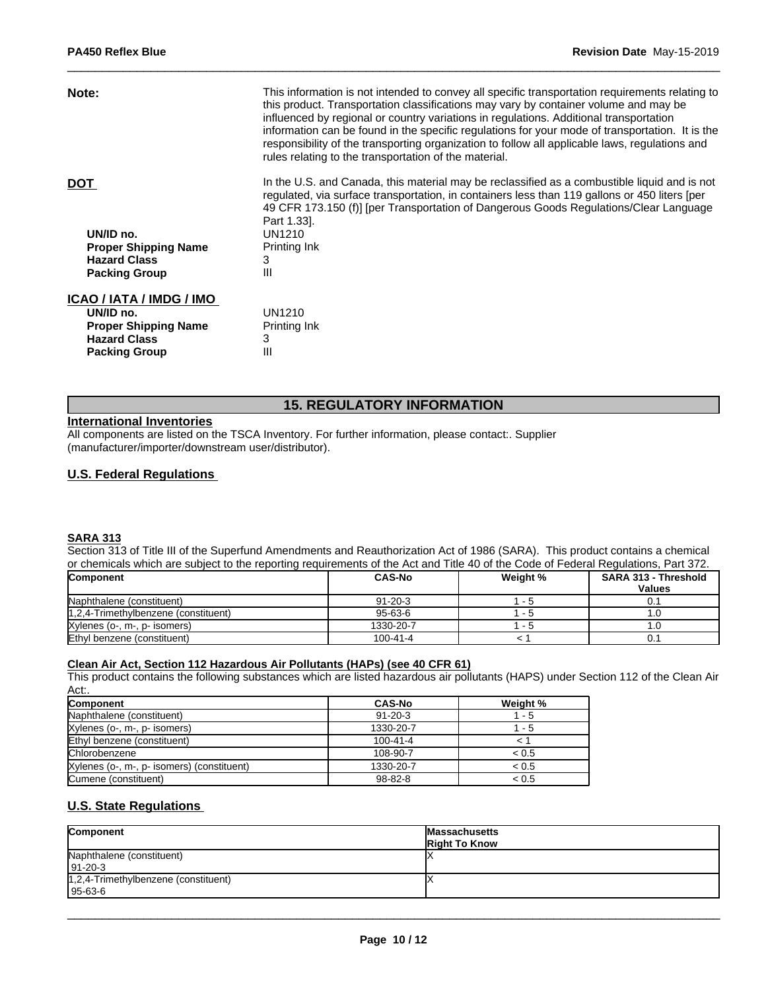| This information is not intended to convey all specific transportation requirements relating to<br>this product. Transportation classifications may vary by container volume and may be<br>influenced by regional or country variations in regulations. Additional transportation<br>information can be found in the specific regulations for your mode of transportation. It is the<br>responsibility of the transporting organization to follow all applicable laws, regulations and<br>rules relating to the transportation of the material. |
|-------------------------------------------------------------------------------------------------------------------------------------------------------------------------------------------------------------------------------------------------------------------------------------------------------------------------------------------------------------------------------------------------------------------------------------------------------------------------------------------------------------------------------------------------|
| In the U.S. and Canada, this material may be reclassified as a combustible liquid and is not<br>regulated, via surface transportation, in containers less than 119 gallons or 450 liters [per<br>49 CFR 173.150 (f)] [per Transportation of Dangerous Goods Regulations/Clear Language<br>Part 1.33.                                                                                                                                                                                                                                            |
| UN1210                                                                                                                                                                                                                                                                                                                                                                                                                                                                                                                                          |
| <b>Printing Ink</b>                                                                                                                                                                                                                                                                                                                                                                                                                                                                                                                             |
| 3                                                                                                                                                                                                                                                                                                                                                                                                                                                                                                                                               |
| Ш                                                                                                                                                                                                                                                                                                                                                                                                                                                                                                                                               |
|                                                                                                                                                                                                                                                                                                                                                                                                                                                                                                                                                 |
| UN1210                                                                                                                                                                                                                                                                                                                                                                                                                                                                                                                                          |
| Printing Ink                                                                                                                                                                                                                                                                                                                                                                                                                                                                                                                                    |
| 3                                                                                                                                                                                                                                                                                                                                                                                                                                                                                                                                               |
| Ш                                                                                                                                                                                                                                                                                                                                                                                                                                                                                                                                               |
|                                                                                                                                                                                                                                                                                                                                                                                                                                                                                                                                                 |

# **15. REGULATORY INFORMATION**

### **International Inventories**

All components are listed on the TSCA Inventory. For further information, please contact:. Supplier (manufacturer/importer/downstream user/distributor).

# **U.S. Federal Regulations**

#### **SARA 313**

Section 313 of Title III of the Superfund Amendments and Reauthorization Act of 1986 (SARA). This product contains a chemical or chemicals which are subject to the reporting requirements of the Act and Title 40 of the Code of Federal Regulations, Part 372.

| <b>Component</b>                     | <b>CAS-No</b> | Weight % | <b>SARA 313 - Threshold</b><br><b>Values</b> |
|--------------------------------------|---------------|----------|----------------------------------------------|
|                                      |               |          |                                              |
| Naphthalene (constituent)            | $91 - 20 - 3$ | - ാ      | 0.1                                          |
| 1,2,4-Trimethylbenzene (constituent) | $95 - 63 - 6$ | . .      |                                              |
| Xylenes (o-, m-, p- isomers)         | 1330-20-7     | - 2      |                                              |
| Ethyl benzene (constituent)          | 100-41-4      |          | 0.1                                          |

# **Clean Air Act,Section 112 Hazardous Air Pollutants (HAPs) (see 40 CFR 61)**

This product contains the following substances which are listed hazardous air pollutants (HAPS) under Section 112 of the Clean Air Act:.

| <b>Component</b>                           | <b>CAS-No</b>  | Weight % |
|--------------------------------------------|----------------|----------|
| Naphthalene (constituent)                  | $91 - 20 - 3$  | $-5$     |
| Xylenes (o-, m-, p- isomers)               | 1330-20-7      | - 5      |
| Ethyl benzene (constituent)                | $100 - 41 - 4$ |          |
| Chlorobenzene                              | 108-90-7       | < 0.5    |
| Xylenes (o-, m-, p- isomers) (constituent) | 1330-20-7      | < 0.5    |
| Cumene (constituent)                       | 98-82-8        | < 0.5    |

# **U.S. State Regulations**

| Component                                              | <b>Massachusetts</b><br><b>Right To Know</b> |
|--------------------------------------------------------|----------------------------------------------|
| Naphthalene (constituent)<br>$191 - 20 - 3$            |                                              |
| 1,2,4-Trimethylbenzene (constituent)<br>$195 - 63 - 6$ |                                              |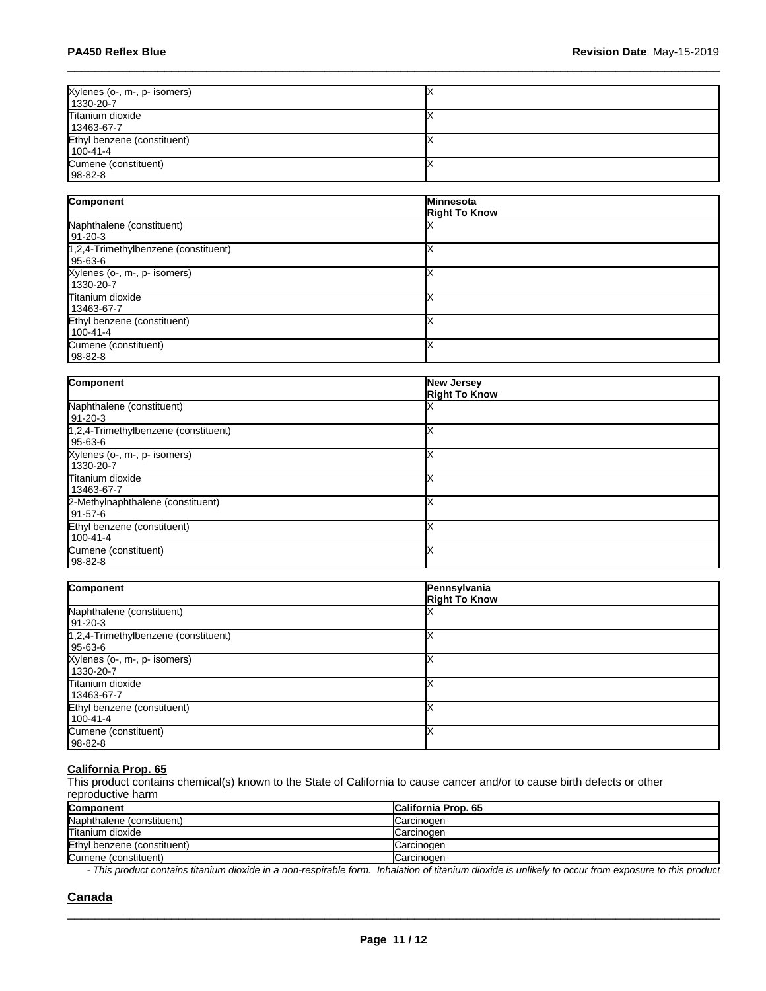| Xylenes (o-, m-, p- isomers) |  |
|------------------------------|--|
| 1330-20-7                    |  |
| Titanium dioxide             |  |
| 13463-67-7                   |  |
| Ethyl benzene (constituent)  |  |
| $100 - 41 - 4$               |  |
| Cumene (constituent)         |  |
| 98-82-8                      |  |

| Component                                            | <b>Minnesota</b>     |
|------------------------------------------------------|----------------------|
|                                                      | <b>Right To Know</b> |
| Naphthalene (constituent)<br>91-20-3                 |                      |
| $1,2,4$ -Trimethylbenzene (constituent)<br>  95-63-6 |                      |
| Xylenes (o-, m-, p- isomers)<br>1330-20-7            |                      |
| Titanium dioxide<br>13463-67-7                       |                      |
| Ethyl benzene (constituent)<br>100-41-4              |                      |
| Cumene (constituent)<br>$98-82-8$                    |                      |

| Component                            | New Jersey<br><b>Right To Know</b> |
|--------------------------------------|------------------------------------|
| Naphthalene (constituent)            |                                    |
| 91-20-3                              |                                    |
| 1,2,4-Trimethylbenzene (constituent) |                                    |
| 95-63-6                              |                                    |
| Xylenes (o-, m-, p- isomers)         |                                    |
| 1330-20-7                            |                                    |
| Titanium dioxide                     |                                    |
| 13463-67-7                           |                                    |
| 2-Methylnaphthalene (constituent)    |                                    |
| 91-57-6                              |                                    |
| Ethyl benzene (constituent)          |                                    |
| 100-41-4                             |                                    |
| Cumene (constituent)                 |                                    |
| 98-82-8                              |                                    |

| Component                                         | Pennsylvania<br><b>Right To Know</b> |
|---------------------------------------------------|--------------------------------------|
| Naphthalene (constituent)<br>91-20-3              |                                      |
| 1,2,4-Trimethylbenzene (constituent)<br>  95-63-6 |                                      |
| Xylenes (o-, m-, p- isomers)<br>1330-20-7         |                                      |
| Titanium dioxide<br>13463-67-7                    |                                      |
| Ethyl benzene (constituent)<br>100-41-4           |                                      |
| Cumene (constituent)<br>  98-82-8                 |                                      |

#### **California Prop. 65**

This product contains chemical(s) known to the State of California to cause cancer and/or to cause birth defects or other reproductive harm

| Component                   | <b>California Prop. 65</b> |
|-----------------------------|----------------------------|
| Naphthalene (constituent)   | Carcinogen                 |
| Titanium dioxide            | Carcinogen                 |
| Ethyl benzene (constituent) | lCarcinogen                |
| Cumene (constituent)        | lCarcinogen                |

*- This product contains titanium dioxide in a non-respirable form. Inhalation of titanium dioxide is unlikely to occur from exposure to this product*

 $\_$  ,  $\_$  ,  $\_$  ,  $\_$  ,  $\_$  ,  $\_$  ,  $\_$  ,  $\_$  ,  $\_$  ,  $\_$  ,  $\_$  ,  $\_$  ,  $\_$  ,  $\_$  ,  $\_$  ,  $\_$  ,  $\_$  ,  $\_$  ,  $\_$  ,  $\_$  ,  $\_$  ,  $\_$  ,  $\_$  ,  $\_$  ,  $\_$  ,  $\_$  ,  $\_$  ,  $\_$  ,  $\_$  ,  $\_$  ,  $\_$  ,  $\_$  ,  $\_$  ,  $\_$  ,  $\_$  ,  $\_$  ,  $\_$  ,

### **Canada**